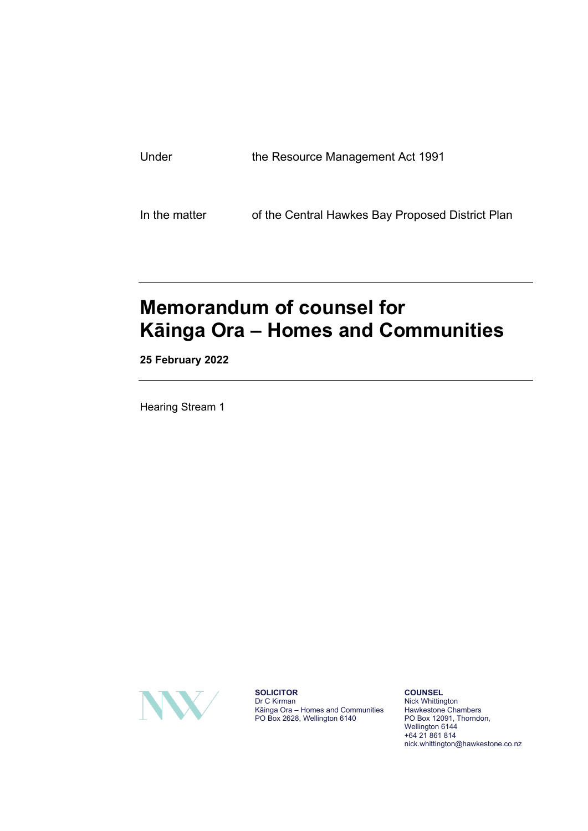| Under | the Resource Management Act 1991 |
|-------|----------------------------------|
|       |                                  |
|       |                                  |

In the matter of the Central Hawkes Bay Proposed District Plan

## **Memorandum of counsel for Kāinga Ora – Homes and Communities**

**25 February 2022**

Hearing Stream 1



**SOLICITOR** Dr C Kirman Kāinga Ora – Homes and Communities PO Box 2628, Wellington 6140

**COUNSEL** Nick Whittington Hawkestone Chambers PO Box 12091, Thorndon, Wellington 6144 +64 21 861 814 nick.whittington@hawkestone.co.nz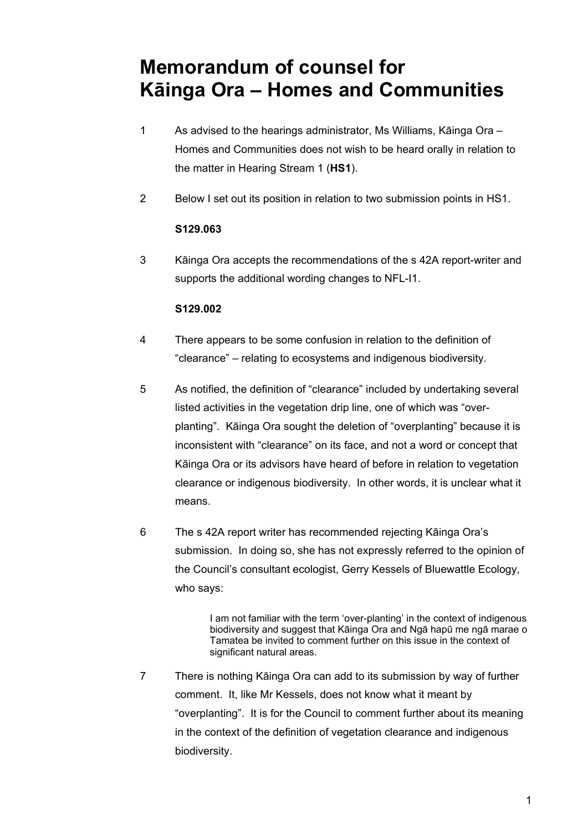## **Memorandum of counsel for Kāinga Ora – Homes and Communities**

- 1 As advised to the hearings administrator, Ms Williams, Kāinga Ora Homes and Communities does not wish to be heard orally in relation to the matter in Hearing Stream 1 (**HS1**).
- 2 Below I set out its position in relation to two submission points in HS1.

## **S129.063**

3 Kāinga Ora accepts the recommendations of the s 42A report-writer and supports the additional wording changes to NFL-I1.

## **S129.002**

- 4 There appears to be some confusion in relation to the definition of "clearance" – relating to ecosystems and indigenous biodiversity.
- 5 As notified, the definition of "clearance" included by undertaking several listed activities in the vegetation drip line, one of which was "overplanting". Kāinga Ora sought the deletion of "overplanting" because it is inconsistent with "clearance" on its face, and not a word or concept that Kāinga Ora or its advisors have heard of before in relation to vegetation clearance or indigenous biodiversity. In other words, it is unclear what it means.
- 6 The s 42A report writer has recommended rejecting Kāinga Ora's submission. In doing so, she has not expressly referred to the opinion of the Council's consultant ecologist, Gerry Kessels of Bluewattle Ecology, who says:

I am not familiar with the term 'over-planting' in the context of indigenous biodiversity and suggest that Kāinga Ora and Ngā hapū me ngā marae o Tamatea be invited to comment further on this issue in the context of significant natural areas.

7 There is nothing Kāinga Ora can add to its submission by way of further comment. It, like Mr Kessels, does not know what it meant by "overplanting". It is for the Council to comment further about its meaning in the context of the definition of vegetation clearance and indigenous biodiversity.